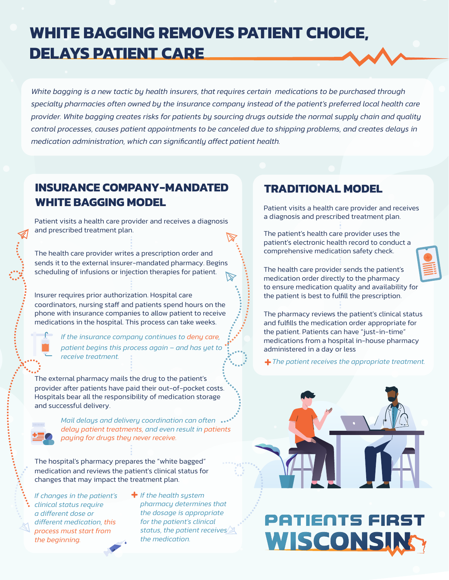### **WHITE BAGGING REMOVES PATIENT CHOICE, DELAYS PATIENT CARE**

*White bagging is a new tactic by health insurers, that requires certain medications to be purchased through*  specialty pharmacies often owned by the insurance company instead of the patient's preferred local health care *provider. White bagging creates risks for patients by sourcing drugs outside the normal supply chain and quality control processes, causes patient appointments to be canceled due to shipping problems, and creates delays in medication administration, which can significantly affect patient health.*

#### **INSURANCE COMPANY-MANDATED WHITE BAGGING MODEL**

Patient visits a health care provider and receives a diagnosis and prescribed treatment plan.

The health care provider writes a prescription order and sends it to the external insurer-mandated pharmacy. Begins scheduling of infusions or injection therapies for patient.

Insurer requires prior authorization. Hospital care coordinators, nursing staff and patients spend hours on the phone with insurance companies to allow patient to receive medications in the hospital. This process can take weeks.

> *If the insurance company continues to deny care, patient begins this process again – and has yet to receive treatment.*

The external pharmacy mails the drug to the patient's provider after patients have paid their out-of-pocket costs. Hospitals bear all the responsibility of medication storage and successful delivery.



*Mail delays and delivery coordination can often delay patient treatments, and even result in patients paying for drugs they never receive.*

The hospital's pharmacy prepares the "white bagged" medication and reviews the patient's clinical status for changes that may impact the treatment plan.

*If changes in the patient's clinical status require a different dose or different medication, this process must start from the beginning.* 

*If the health system pharmacy determines that the dosage is appropriate for the patient's clinical status, the patient receives the medication.*

#### **TRADITIONAL MODEL**

Patient visits a health care provider and receives a diagnosis and prescribed treatment plan.

The patient's health care provider uses the patient's electronic health record to conduct a comprehensive medication safety check.

The health care provider sends the patient's medication order directly to the pharmacy to ensure medication quality and availability for the patient is best to fulfill the prescription.

The pharmacy reviews the patient's clinical status and fulfills the medication order appropriate for the patient. Patients can have "just-in-time" medications from a hospital in-house pharmacy administered in a day or less

 *The patient receives the appropriate treatment.*



# **PATIENTS FIRST** WISCONSING